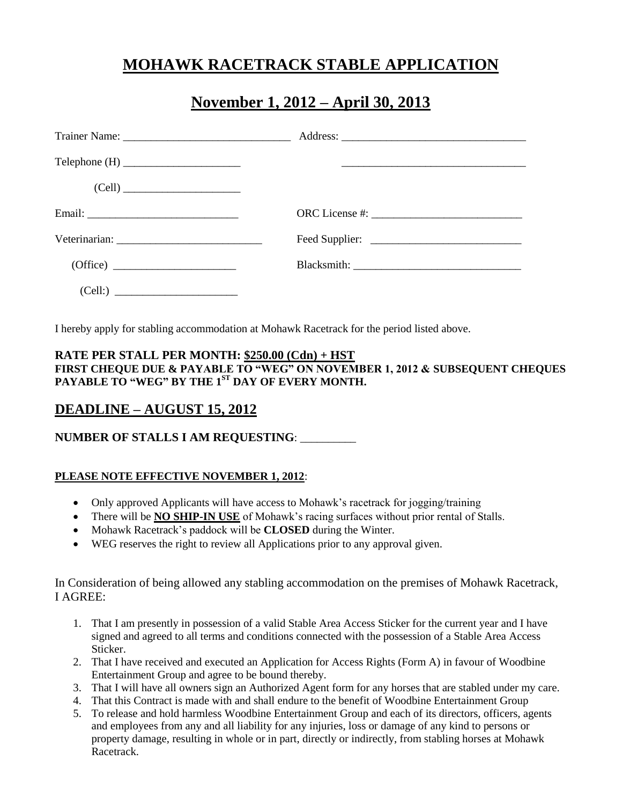# **MOHAWK RACETRACK STABLE APPLICATION**

## **November 1, 2012 – April 30, 2013**

| $\text{Telephone (H)}$ |  |
|------------------------|--|
| (Cell)                 |  |
|                        |  |
|                        |  |
|                        |  |
| (Cell: )               |  |

I hereby apply for stabling accommodation at Mohawk Racetrack for the period listed above.

### **RATE PER STALL PER MONTH: \$250.00 (Cdn) + HST FIRST CHEQUE DUE & PAYABLE TO "WEG" ON NOVEMBER 1, 2012 & SUBSEQUENT CHEQUES PAYABLE TO "WEG" BY THE 1 ST DAY OF EVERY MONTH.**

### **DEADLINE – AUGUST 15, 2012**

**NUMBER OF STALLS I AM REQUESTING**: \_\_\_\_\_\_\_\_\_\_

### **PLEASE NOTE EFFECTIVE NOVEMBER 1, 2012**:

- Only approved Applicants will have access to Mohawk's racetrack for jogging/training
- There will be **NO SHIP-IN USE** of Mohawk's racing surfaces without prior rental of Stalls.
- Mohawk Racetrack's paddock will be **CLOSED** during the Winter.
- WEG reserves the right to review all Applications prior to any approval given.

In Consideration of being allowed any stabling accommodation on the premises of Mohawk Racetrack, I AGREE:

- 1. That I am presently in possession of a valid Stable Area Access Sticker for the current year and I have signed and agreed to all terms and conditions connected with the possession of a Stable Area Access Sticker.
- 2. That I have received and executed an Application for Access Rights (Form A) in favour of Woodbine Entertainment Group and agree to be bound thereby.
- 3. That I will have all owners sign an Authorized Agent form for any horses that are stabled under my care.
- 4. That this Contract is made with and shall endure to the benefit of Woodbine Entertainment Group
- 5. To release and hold harmless Woodbine Entertainment Group and each of its directors, officers, agents and employees from any and all liability for any injuries, loss or damage of any kind to persons or property damage, resulting in whole or in part, directly or indirectly, from stabling horses at Mohawk Racetrack.